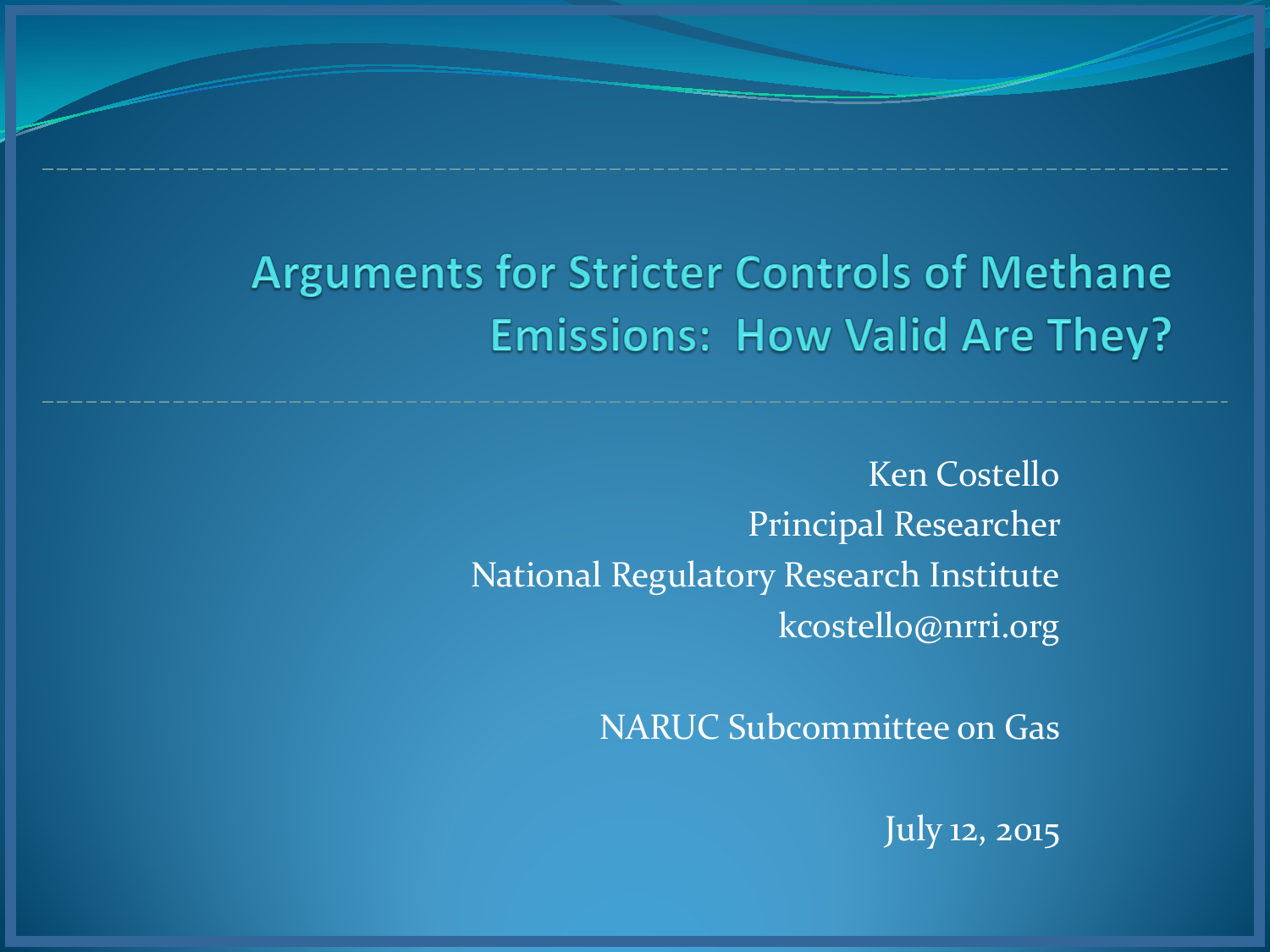## **Arguments for Stricter Controls of Methane Emissions: How Valid Are They?**

Ken Costello Principal Researcher National Regulatory Research Institute kcostello@nrri.org

NARUC Subcommittee on Gas

July 12, 2015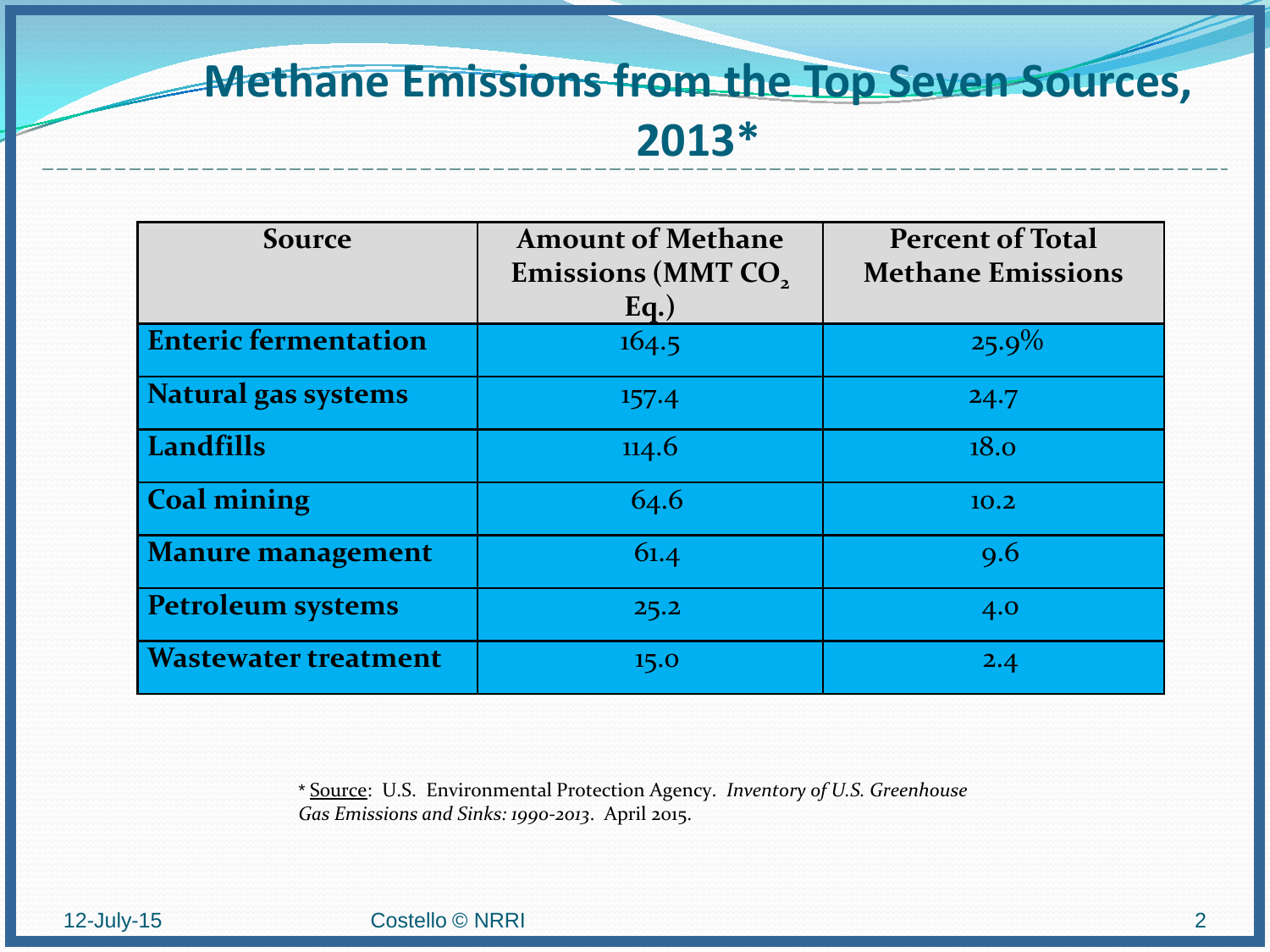## **Methane Emissions from the Top Seven Sources, 2013\***

| <b>Source</b>               | <b>Amount of Methane</b><br>Emissions (MMT CO,<br>$Eq.$ ) | <b>Percent of Total</b><br><b>Methane Emissions</b> |
|-----------------------------|-----------------------------------------------------------|-----------------------------------------------------|
| <b>Enteric fermentation</b> | 164.5                                                     | $25.9\%$                                            |
| <b>Natural gas systems</b>  | 157.4                                                     | 24.7                                                |
| Landfills                   | 114.6                                                     | 18.0                                                |
| <b>Coal mining</b>          | 64.6                                                      | 10.2                                                |
| <b>Manure management</b>    | 61.4                                                      | 9.6                                                 |
| <b>Petroleum systems</b>    | 25.2                                                      | 4.0                                                 |
| <b>Wastewater treatment</b> | 15.0                                                      | 2.4                                                 |

\* Source: U.S. Environmental Protection Agency. *Inventory of U.S. Greenhouse Gas Emissions and Sinks: 1990-2013*. April 2015.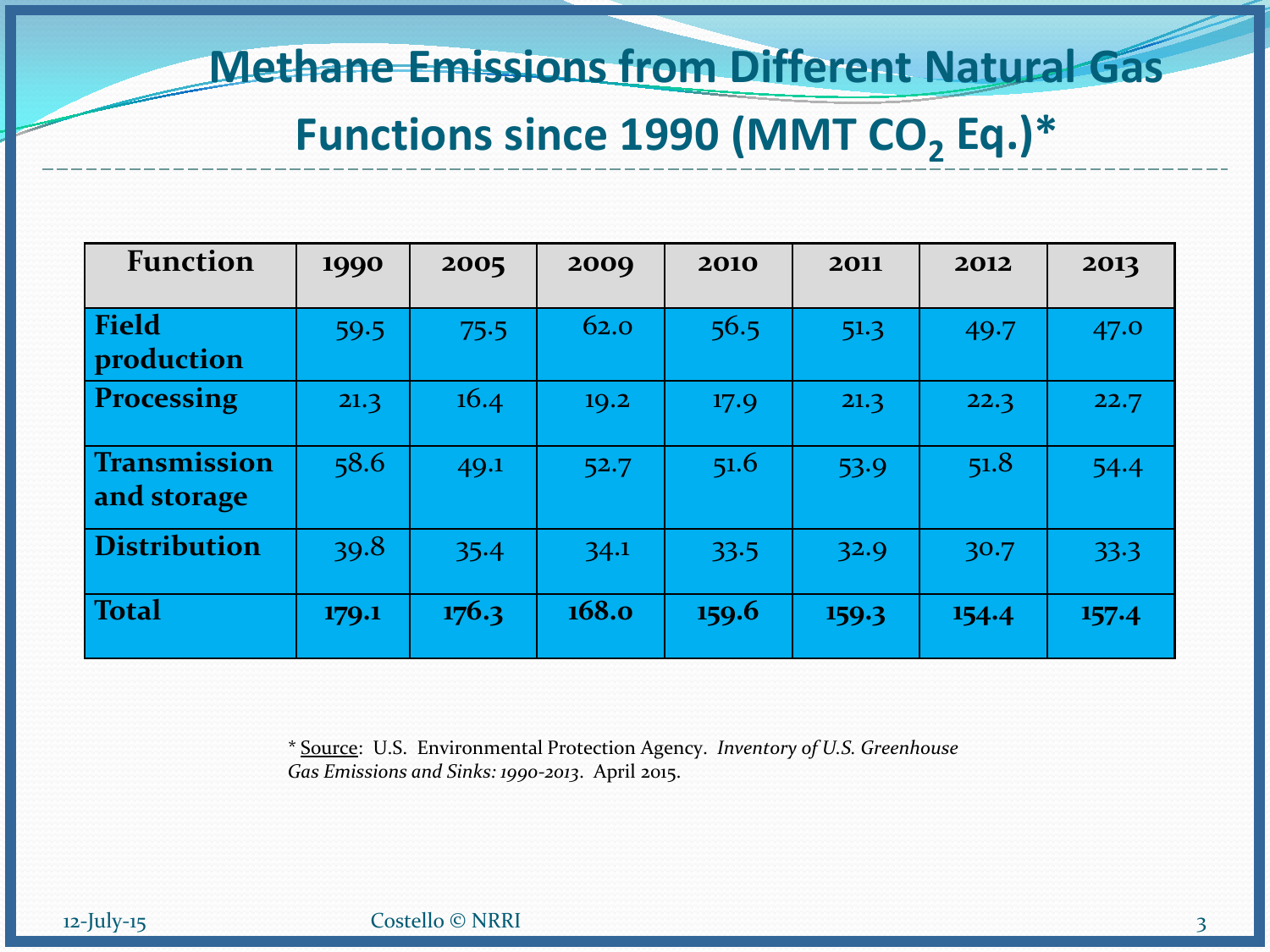#### **Methane Emissions from Different Natural Gas**

#### Functions since 1990 (MMT CO<sub>2</sub> Eq.)\*

| <b>Function</b>                    | 1990  | 2005  | 2009         | 2010  | 2011  | 2012  | 2013  |
|------------------------------------|-------|-------|--------------|-------|-------|-------|-------|
| <b>Field</b><br>production         | 59.5  | 75.5  | 62.0         | 56.5  | 51.3  | 49.7  | 47.0  |
| <b>Processing</b>                  | 21.3  | 16.4  | 19.2         | 17.9  | 21.3  | 22.3  | 22.7  |
| <b>Transmission</b><br>and storage | 58.6  | 49.1  | 52.7         | 51.6  | 53.9  | 51.8  | 54.4  |
| <b>Distribution</b>                | 39.8  | 35.4  | 34.1         | 33.5  | 32.9  | 30.7  | 33.3  |
| Total                              | 179.1 | 176.3 | <b>168.0</b> | 159.6 | 159.3 | 154.4 | 157.4 |

\* Source: U.S. Environmental Protection Agency. *Inventory of U.S. Greenhouse Gas Emissions and Sinks: 1990-2013*. April 2015.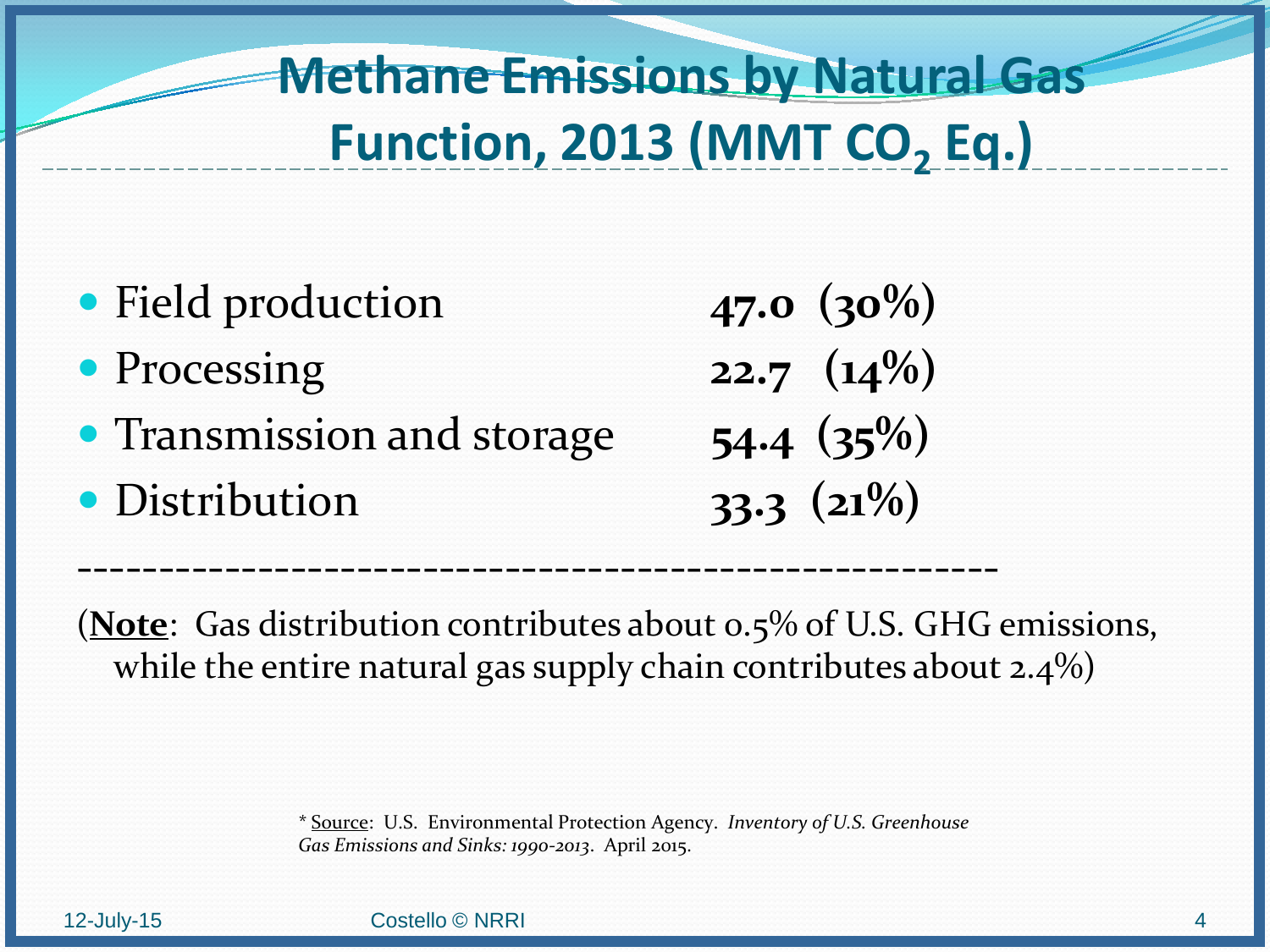# **Methane Emissions by Natural Gas Function, 2013 (MMT CO<sub>2</sub> Eq.)**

- Field production **47.0** (30%)
- Processing **22.7 (14%)**
- Transmission and storage **54.4 (35%)**
- Distribution **33.3 (21%)**

(**Note**: Gas distribution contributes about 0.5% of U.S. GHG emissions, while the entire natural gas supply chain contributes about  $2.4\%$ )

--------------------------------------------------------

\* Source: U.S. Environmental Protection Agency. *Inventory of U.S. Greenhouse Gas Emissions and Sinks: 1990-2013*. April 2015.

12-July-15 Costello © NRRI 4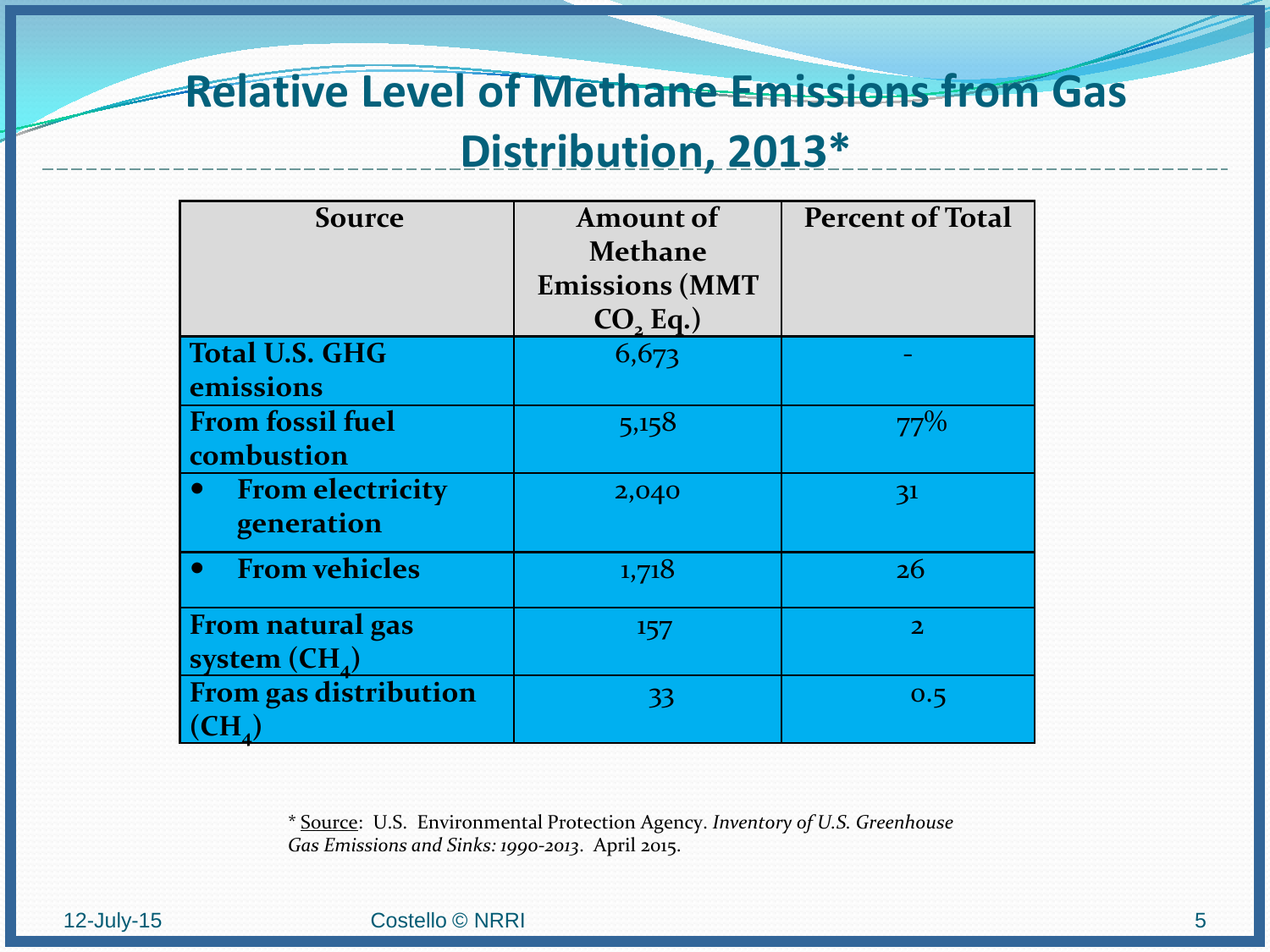## **Relative Level of Methane Emissions from Gas Distribution, 2013\***

| <b>Source</b>                                      | <b>Amount of</b><br><b>Methane</b><br><b>Emissions (MMT</b><br>CO <sub>2</sub> Eq.) | <b>Percent of Total</b> |
|----------------------------------------------------|-------------------------------------------------------------------------------------|-------------------------|
| <b>Total U.S. GHG</b><br>emissions                 | 6,673                                                                               |                         |
| <b>From fossil fuel</b><br>combustion              | 5,158                                                                               | $77\%$                  |
| <b>From electricity</b><br>$\bullet$<br>generation | 2,040                                                                               | 31                      |
| <b>From vehicles</b><br>$\bullet$                  | 1,718                                                                               | 26                      |
| <b>From natural gas</b><br>system $(CH_{4})$       | 157                                                                                 | $\overline{2}$          |
| <b>From gas distribution</b>                       | 33                                                                                  | 0.5                     |

\* Source: U.S. Environmental Protection Agency. *Inventory of U.S. Greenhouse Gas Emissions and Sinks: 1990-2013*. April 2015.

#### 12-July-15 Costello © NRRI 5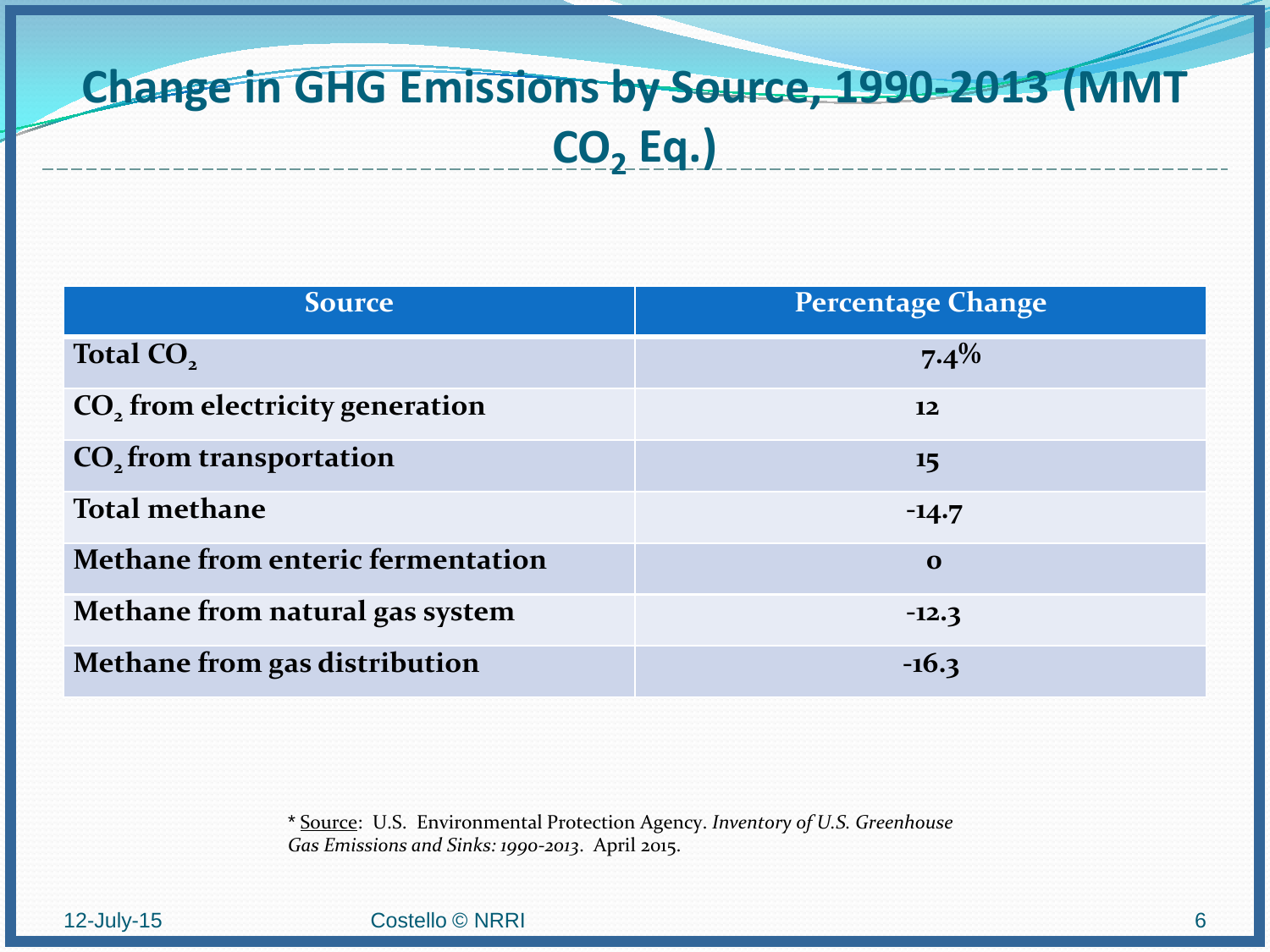## **Change in GHG Emissions by Source, 1990-2013 (MMT CO2 Eq.)**

| <b>Source</b>                               | <b>Percentage Change</b> |
|---------------------------------------------|--------------------------|
| Total CO <sub>2</sub>                       | $7.4\%$                  |
| CO <sub>2</sub> from electricity generation | 12                       |
| CO <sub>2</sub> from transportation         | 15                       |
| <b>Total methane</b>                        | $-14.7$                  |
| <b>Methane from enteric fermentation</b>    | $\Omega$                 |
| Methane from natural gas system             | $-12.3$                  |
| Methane from gas distribution               | $-16.3$                  |

\* Source: U.S. Environmental Protection Agency. *Inventory of U.S. Greenhouse Gas Emissions and Sinks: 1990-2013*. April 2015.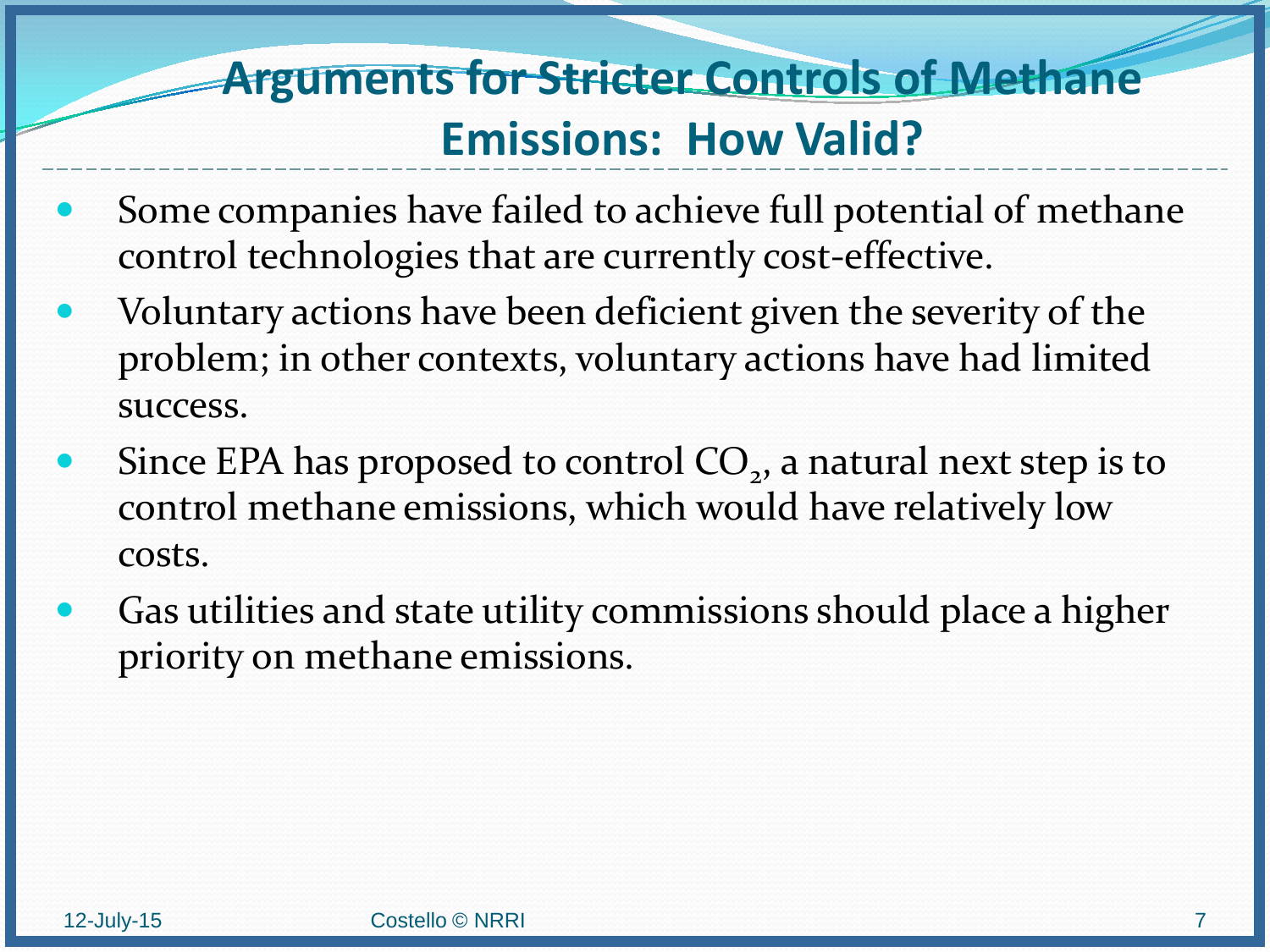## **Arguments for Stricter Controls of Methane Emissions: How Valid?**

- Some companies have failed to achieve full potential of methane control technologies that are currently cost-effective.
- Voluntary actions have been deficient given the severity of the problem; in other contexts, voluntary actions have had limited success.
- Since EPA has proposed to control  $CO<sub>2</sub>$ , a natural next step is to control methane emissions, which would have relatively low costs.
- Gas utilities and state utility commissions should place a higher priority on methane emissions.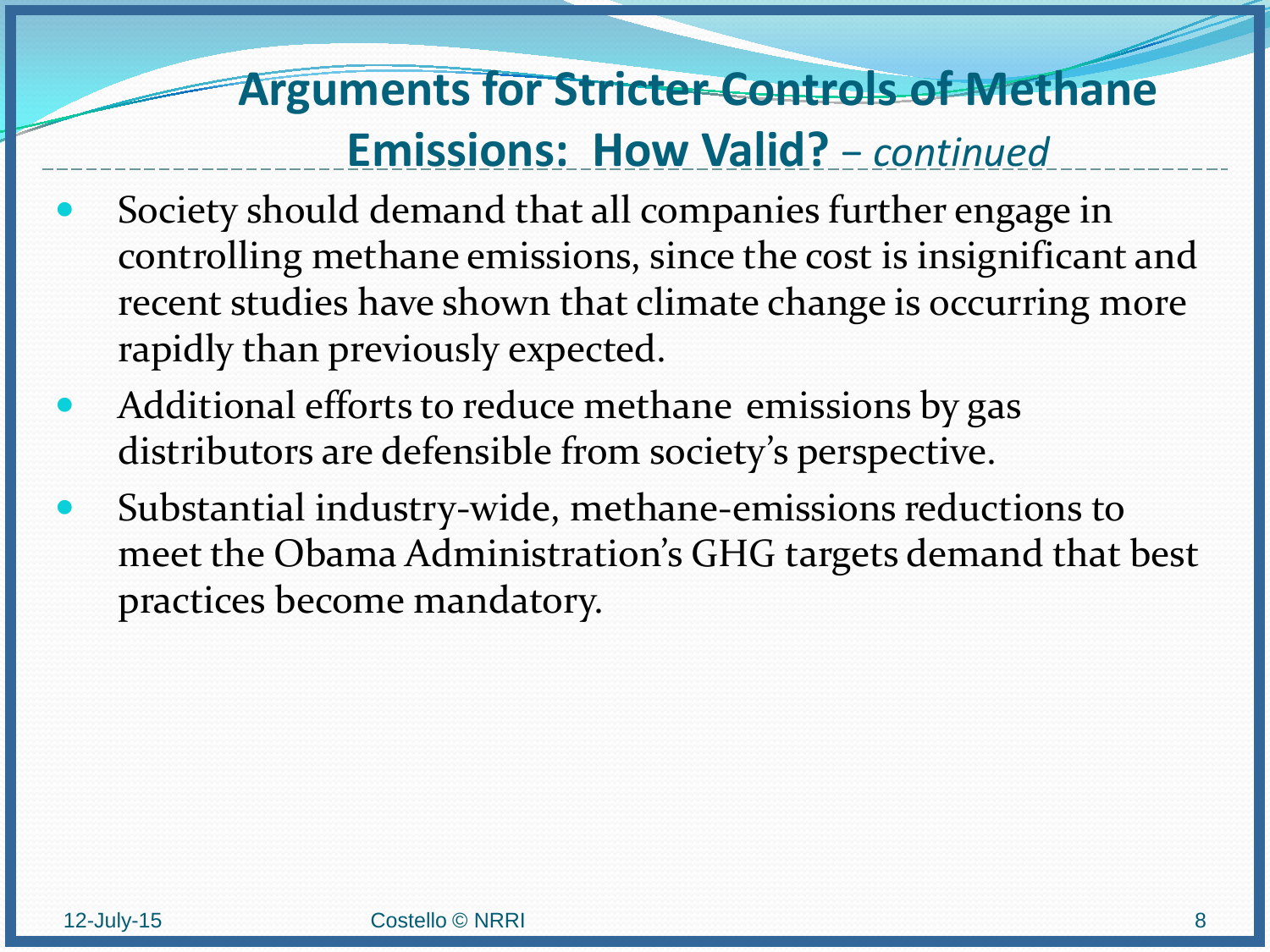## **Arguments for Stricter Controls of Methane Emissions: How Valid?** − *continued*

- Society should demand that all companies further engage in controlling methane emissions, since the cost is insignificant and recent studies have shown that climate change is occurring more rapidly than previously expected.
- Additional efforts to reduce methane emissions by gas distributors are defensible from society's perspective.
- Substantial industry-wide, methane-emissions reductions to meet the Obama Administration's GHG targets demand that best practices become mandatory.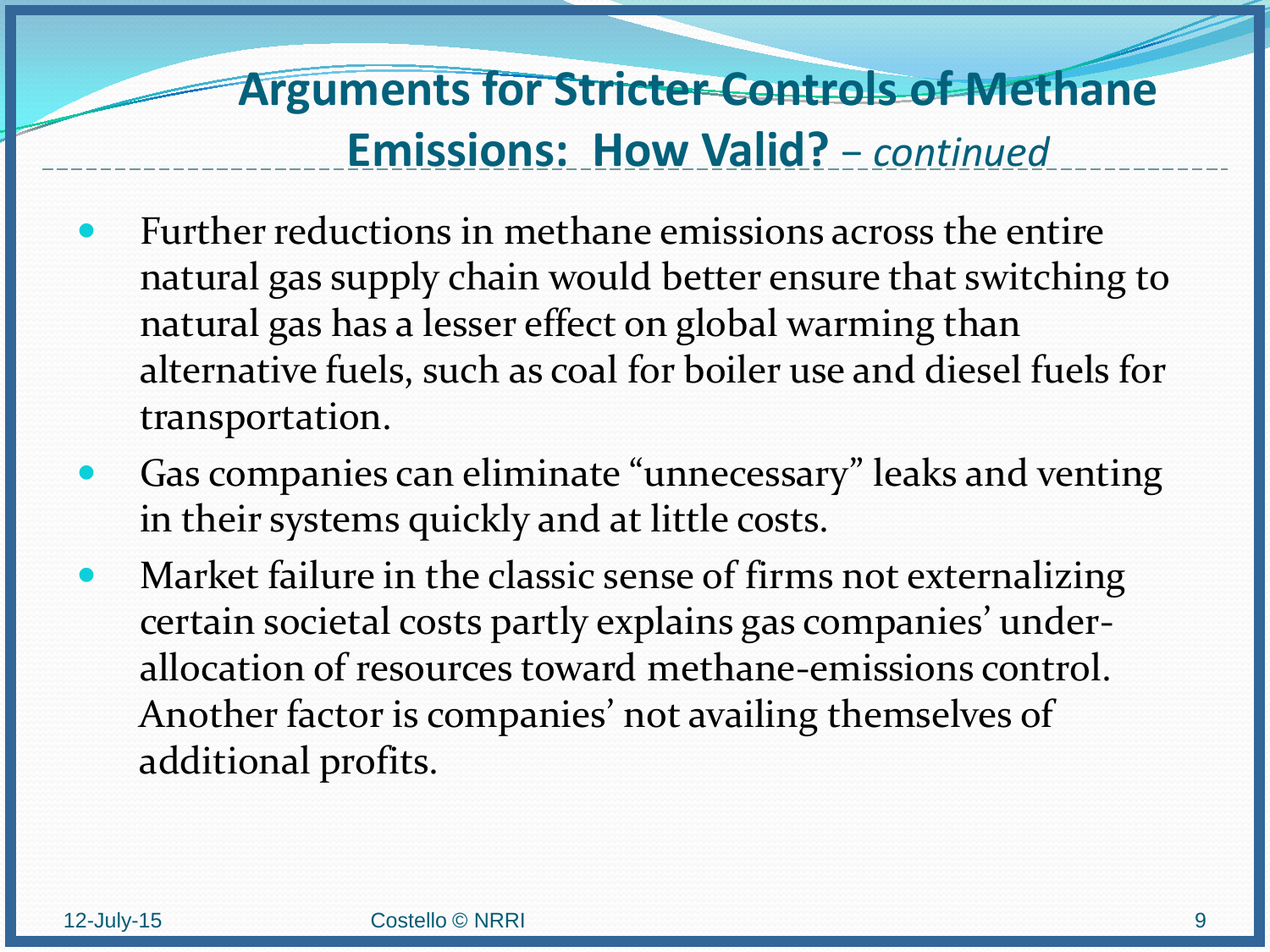## **Arguments for Stricter Controls of Methane Emissions: How Valid?** − *continued*

- Further reductions in methane emissions across the entire natural gas supply chain would better ensure that switching to natural gas has a lesser effect on global warming than alternative fuels, such as coal for boiler use and diesel fuels for transportation.
- Gas companies can eliminate "unnecessary" leaks and venting in their systems quickly and at little costs.
- Market failure in the classic sense of firms not externalizing certain societal costs partly explains gas companies' underallocation of resources toward methane-emissions control. Another factor is companies' not availing themselves of additional profits.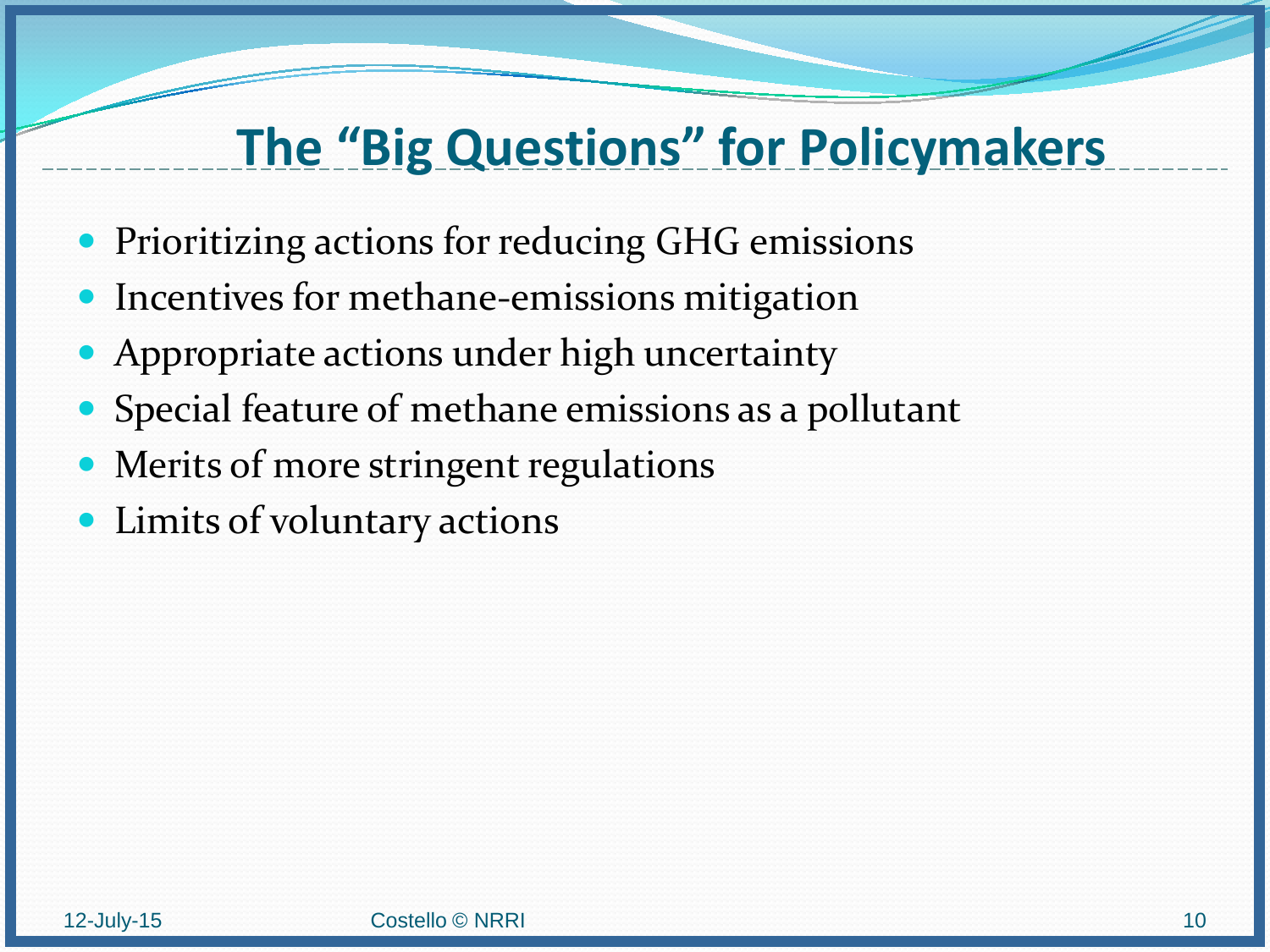## **The "Big Questions" for Policymakers**

- **Prioritizing actions for reducing GHG emissions**
- Incentives for methane-emissions mitigation
- Appropriate actions under high uncertainty
- Special feature of methane emissions as a pollutant
- Merits of more stringent regulations
- Limits of voluntary actions